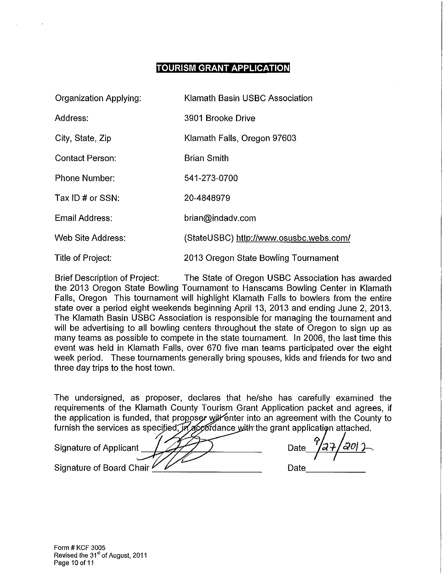# **TOURISM GRANT APPLICATION**

| <b>Organization Applying:</b> | Klamath Basin USBC Association          |
|-------------------------------|-----------------------------------------|
| Address:                      | 3901 Brooke Drive                       |
| City, State, Zip              | Klamath Falls, Oregon 97603             |
| <b>Contact Person:</b>        | <b>Brian Smith</b>                      |
| <b>Phone Number:</b>          | 541-273-0700                            |
| Tax ID # or SSN:              | 20-4848979                              |
| Email Address:                | brian@indadv.com                        |
| <b>Web Site Address:</b>      | (StateUSBC) http://www.osusbc.webs.com/ |
| Title of Project:             | 2013 Oregon State Bowling Tournament    |

Brief Description of Project: The State of Oregon USBC Association has awarded the 2013 Oregon State Bowling Tournament to Hanscams Bowling Center in Klamath Falls, Oregon This tournament will highlight Klamath Falls to bowlers from the entire state over a period eight weekends beginning April 13, 2013 and ending June 2, 2013. The Klamath Basin USBC Association is responsible for managing the tournament and will be advertising to all bowling centers throughout the state of Oregon to sign up as many teams as possible to compete in the state tournament. In 2006, the last time this event was held in Klamath Falls, over 670 five man teams participated over the eight week period. These tournaments generally bring spouses, kids and friends for two and three day trips to the host town.

The undersigned, as proposer, declares that he/she has carefully examined the requirements of the Klamath County Tourism Grant Application packet and agrees, if the application is funded, that proposer will enter into an agreement with the County to furnish the services as specified, in accordance with the grant application attached.

Signature of Applicant *| 4/7/ )* Date Signature of Board Chair

Date \_\_\_\_ \_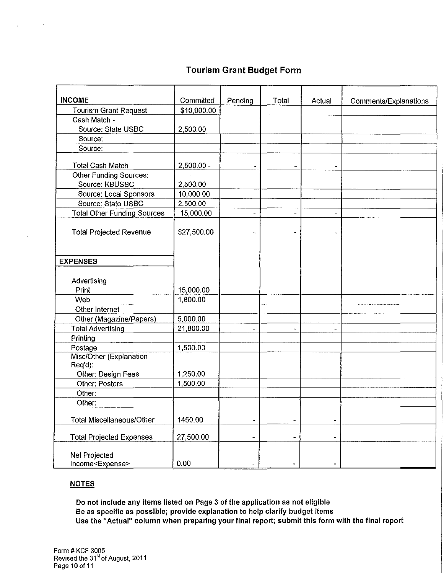## **Tourism Grant Budget Form**

| <b>INCOME</b>                                            | Committed    | Pending        | Total                    | Actual         | Comments/Explanations |
|----------------------------------------------------------|--------------|----------------|--------------------------|----------------|-----------------------|
| <b>Tourism Grant Request</b>                             | \$10,000.00  |                |                          |                |                       |
| Cash Match -                                             |              |                |                          |                |                       |
| Source: State USBC                                       | 2,500.00     |                |                          |                |                       |
| Source:                                                  |              |                |                          |                |                       |
| Source:                                                  |              |                |                          |                |                       |
|                                                          |              |                |                          |                |                       |
| <b>Total Cash Match</b>                                  | $2,500.00 -$ |                |                          |                |                       |
| <b>Other Funding Sources:</b>                            |              |                |                          |                |                       |
| Source: KBUSBC                                           | 2,500.00     |                |                          |                |                       |
| Source: Local Sponsors                                   | 10,000.00    |                |                          |                |                       |
| Source: State USBC                                       | 2,500.00     |                |                          |                |                       |
| <b>Total Other Funding Sources</b>                       | 15,000.00    |                |                          |                |                       |
| <b>Total Projected Revenue</b>                           | \$27,500.00  |                |                          |                |                       |
| <b>EXPENSES</b>                                          |              |                |                          |                |                       |
| Advertising                                              |              |                |                          |                |                       |
| Print                                                    | 15,000.00    |                |                          |                |                       |
| Web                                                      | 1,800.00     |                |                          |                |                       |
| Other Internet                                           |              |                |                          |                |                       |
| Other (Magazine/Papers)                                  | 5,000.00     |                |                          |                |                       |
| <b>Total Advertising</b>                                 | 21,800.00    | $\blacksquare$ | ۰.                       | ٠              |                       |
| Printing                                                 |              |                |                          |                |                       |
| Postage                                                  | 1,500.00     |                |                          |                |                       |
| Misc/Other (Explanation<br>Req'd):<br>Other: Design Fees | 1,250.00     |                |                          |                |                       |
| Other: Posters                                           | 1,500.00     |                |                          |                |                       |
| Other:                                                   |              |                |                          |                |                       |
| Other:                                                   |              |                |                          |                |                       |
| <b>Total Miscellaneous/Other</b>                         | 1450.00      | $\blacksquare$ |                          |                |                       |
| <b>Total Projected Expenses</b>                          | 27,500.00    |                | $\overline{\phantom{a}}$ | $\blacksquare$ |                       |
| Net Projected<br>Income <expense></expense>              | 0.00         |                |                          | $\blacksquare$ |                       |

#### **NOTES**

 $\sim$ 

**Do not include any items listed on Page 3 of the application as not eligible Be as specific as possible; provide explanation to help clarify budget items Use the "Actual" column when preparing your final report; submit this form with the final report**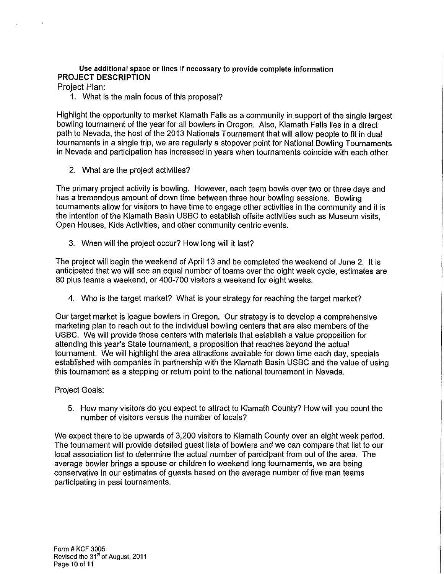## Use additional space or lines If necessary to provide complete information **PROJECT DESCRIPTION**

Project Plan:

1. What is the main focus of this proposal?

Highlight the opportunity to market Klamath Falls as a community in support of the single largest bowling tournament of the year for all bowlers in Oregon. Also, Klamath Falls lies in a direct path to Nevada, the host of the 2013 Nationals Tournament that will allow people to fit in dual tournaments in a single trip, we are regularly a stopover point for National Bowling Tournaments in Nevada and participation has increased in years when tournaments coincide with each other.

2. What are the project activities?

The primary project activity is bowling. However, each team bowls over two or three days and has a tremendous amount of down time between three hour bowling sessions. Bowling tournaments allow for visitors to have time to engage other activities in the community and it is the intention of the Klamath Basin USBC to establish offsite activities such as Museum visits, Open Houses, Kids Activities, and other community centric events.

3. When will the project occur? How long will it last?

The project will begin the weekend of April 13 and be completed the weekend of June 2. It is anticipated that we will see an equal number of teams over the eight week cycle, estimates are 80 plus teams a weekend, or 400-700 visitors a weekend for eight weeks.

4. Who is the target market? What is your strategy for reaching the target market?

Our target market is league bowlers in Oregon. Our strategy is to develop a comprehensive marketing plan to reach out to the individual bowling centers that are also members of the USBC. We will provide those centers with materials that establish a value proposition for attending this year's State tournament, a proposition that reaches beyond the actual tournament. We will highlight the area attractions available for down time each day, specials established with companies in partnership with the Klamath Basin USBC and the value of using this tournament as a stepping or return point to the national tournament in Nevada.

Project Goals:

5. How many visitors do you expect to attract to Klamath County? How will you count the number of visitors versus the number of locals?

We expect there to be upwards of 3,200 visitors to Klamath County over an eight week period. The tournament will provide detailed guest lists of bowlers and we can compare that list to our local association list to determine the actual number of participant from out of the area. The average bowler brings a spouse or children to weekend long tournaments, we are being conservative in our estimates of guests based on the average number of five man teams participating in past tournaments.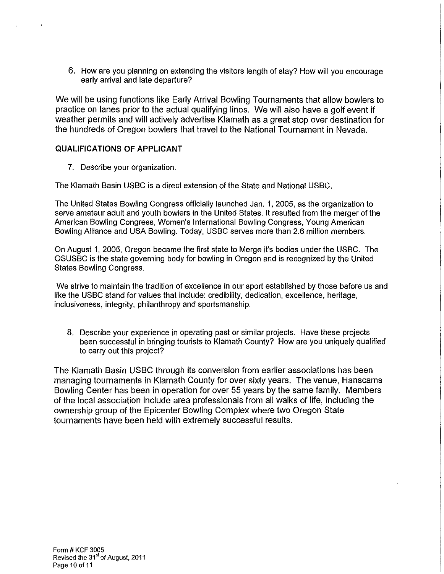6. How are you planning on extending the visitors length of stay? How will you encourage early arrival and late departure?

We will be using functions like Early Arrival Bowling Tournaments that allow bowlers to practice on lanes prior to the actual qualifying lines. We will also have a golf event if weather permits and will actively advertise Klamath as a great stop over destination for the hundreds of Oregon bowlers that travel to the National Tournament in Nevada.

## **QUALIFICATIONS OF APPLICANT**

7. Describe your organization.

The Klamath Basin USBC is a direct extension of the State and National USBC.

The United States Bowling Congress officially launched Jan. 1, 2005, as the organization to serve amateur adult and youth bowlers in the United States. It resulted from the merger of the American Bowling Congress, Women's International Bowling Congress, Young American Bowling Alliance and USA Bowling. Today, USBC serves more than 2.6 million members.

On August 1, 2005, Oregon became the first state to Merge it's bodies under the USBC. The OSUSBC is the state governing body for bowling in Oregon and is recognized by the United States Bowling Congress.

We strive to maintain the tradition of excellence in our sport established by those before us and like the USBC stand for values that include: credibility, dedication, excellence, heritage, inclusiveness, integrity, philanthropy and sportsmanship.

8. Describe your experience in operating past or similar projects. Have these projects been successful in bringing tourists to Klamath County? How are you uniquely qualified to carry out this project?

The Klamath Basin USBC through its conversion from earlier associations has been managing tournaments in Klamath County for over sixty years. The venue, Hanscams Bowling Center has been in operation for over 55 years by the same family. Members of the local association include area professionals from all walks of life, including the ownership group of the Epicenter Bowling Complex where two Oregon State tournaments have been held with extremely successful results.